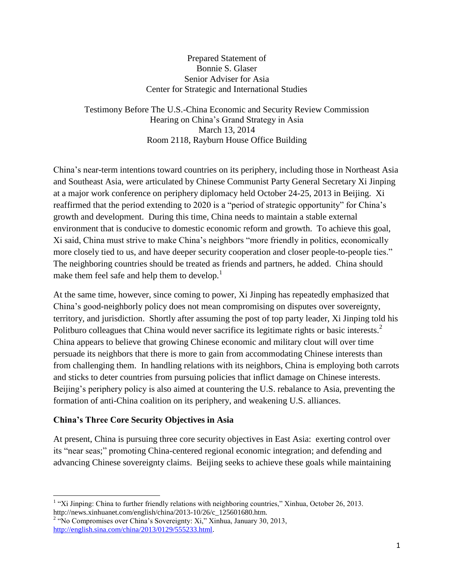#### Prepared Statement of Bonnie S. Glaser Senior Adviser for Asia Center for Strategic and International Studies

Testimony Before The U.S.-China Economic and Security Review Commission Hearing on China's Grand Strategy in Asia March 13, 2014 Room 2118, Rayburn House Office Building

China's near-term intentions toward countries on its periphery, including those in Northeast Asia and Southeast Asia, were articulated by Chinese Communist Party General Secretary Xi Jinping at a major work conference on periphery diplomacy held October 24-25, 2013 in Beijing. Xi reaffirmed that the period extending to 2020 is a "period of strategic opportunity" for China's growth and development. During this time, China needs to maintain a stable external environment that is conducive to domestic economic reform and growth. To achieve this goal, Xi said, China must strive to make China's neighbors "more friendly in politics, economically more closely tied to us, and have deeper security cooperation and closer people-to-people ties." The neighboring countries should be treated as friends and partners, he added. China should make them feel safe and help them to develop.<sup>1</sup>

At the same time, however, since coming to power, Xi Jinping has repeatedly emphasized that China's good-neighborly policy does not mean compromising on disputes over sovereignty, territory, and jurisdiction. Shortly after assuming the post of top party leader, Xi Jinping told his Politburo colleagues that China would never sacrifice its legitimate rights or basic interests. $2$ China appears to believe that growing Chinese economic and military clout will over time persuade its neighbors that there is more to gain from accommodating Chinese interests than from challenging them. In handling relations with its neighbors, China is employing both carrots and sticks to deter countries from pursuing policies that inflict damage on Chinese interests. Beijing's periphery policy is also aimed at countering the U.S. rebalance to Asia, preventing the formation of anti-China coalition on its periphery, and weakening U.S. alliances.

### **China's Three Core Security Objectives in Asia**

 $\overline{\phantom{a}}$ 

At present, China is pursuing three core security objectives in East Asia: exerting control over its "near seas;" promoting China-centered regional economic integration; and defending and advancing Chinese sovereignty claims. Beijing seeks to achieve these goals while maintaining

<sup>&</sup>lt;sup>1</sup> "Xi Jinping: China to further friendly relations with neighboring countries," Xinhua, October 26, 2013. http://news.xinhuanet.com/english/china/2013-10/26/c\_125601680.htm.

<sup>&</sup>lt;sup>2</sup> "No Compromises over China's Sovereignty: Xi," Xinhua, January 30, 2013, [http://english.sina.com/china/2013/0129/555233.html.](http://english.sina.com/china/2013/0129/555233.html)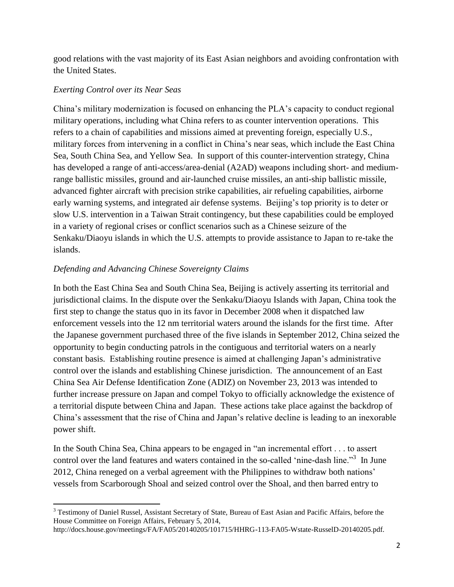good relations with the vast majority of its East Asian neighbors and avoiding confrontation with the United States.

### *Exerting Control over its Near Seas*

China's military modernization is focused on enhancing the PLA's capacity to conduct regional military operations, including what China refers to as counter intervention operations. This refers to a chain of capabilities and missions aimed at preventing foreign, especially U.S., military forces from intervening in a conflict in China's near seas, which include the East China Sea, South China Sea, and Yellow Sea. In support of this counter-intervention strategy, China has developed a range of anti-access/area-denial (A2AD) weapons including short- and mediumrange ballistic missiles, ground and air-launched cruise missiles, an anti-ship ballistic missile, advanced fighter aircraft with precision strike capabilities, air refueling capabilities, airborne early warning systems, and integrated air defense systems. Beijing's top priority is to deter or slow U.S. intervention in a Taiwan Strait contingency, but these capabilities could be employed in a variety of regional crises or conflict scenarios such as a Chinese seizure of the Senkaku/Diaoyu islands in which the U.S. attempts to provide assistance to Japan to re-take the islands.

### *Defending and Advancing Chinese Sovereignty Claims*

In both the East China Sea and South China Sea, Beijing is actively asserting its territorial and jurisdictional claims. In the dispute over the Senkaku/Diaoyu Islands with Japan, China took the first step to change the status quo in its favor in December 2008 when it dispatched law enforcement vessels into the 12 nm territorial waters around the islands for the first time. After the Japanese government purchased three of the five islands in September 2012, China seized the opportunity to begin conducting patrols in the contiguous and territorial waters on a nearly constant basis. Establishing routine presence is aimed at challenging Japan's administrative control over the islands and establishing Chinese jurisdiction. The announcement of an East China Sea Air Defense Identification Zone (ADIZ) on November 23, 2013 was intended to further increase pressure on Japan and compel Tokyo to officially acknowledge the existence of a territorial dispute between China and Japan. These actions take place against the backdrop of China's assessment that the rise of China and Japan's relative decline is leading to an inexorable power shift.

In the South China Sea, China appears to be engaged in "an incremental effort . . . to assert control over the land features and waters contained in the so-called 'nine-dash line."<sup>3</sup> In June 2012, China reneged on a verbal agreement with the Philippines to withdraw both nations' vessels from Scarborough Shoal and seized control over the Shoal, and then barred entry to

 $\overline{\phantom{a}}$ <sup>3</sup> Testimony of Daniel Russel, Assistant Secretary of State, Bureau of East Asian and Pacific Affairs, before the House Committee on Foreign Affairs, February 5, 2014,

http://docs.house.gov/meetings/FA/FA05/20140205/101715/HHRG-113-FA05-Wstate-RusselD-20140205.pdf.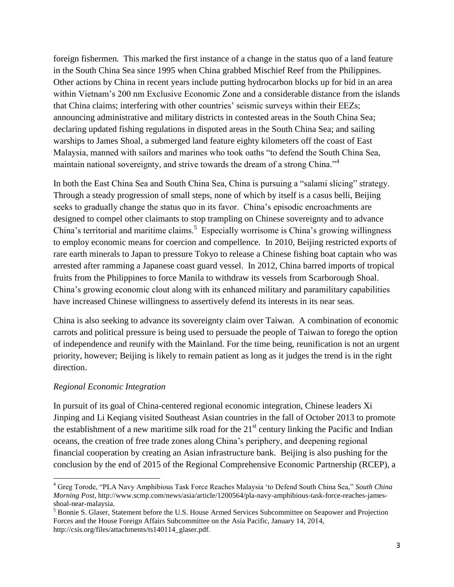foreign fishermen. This marked the first instance of a change in the status quo of a land feature in the South China Sea since 1995 when China grabbed Mischief Reef from the Philippines. Other actions by China in recent years include putting hydrocarbon blocks up for bid in an area within Vietnam's 200 nm Exclusive Economic Zone and a considerable distance from the islands that China claims; interfering with other countries' seismic surveys within their EEZs; announcing administrative and military districts in contested areas in the South China Sea; declaring updated fishing regulations in disputed areas in the South China Sea; and sailing warships to James Shoal, a submerged land feature eighty kilometers off the coast of East Malaysia, manned with sailors and marines who took oaths "to defend the South China Sea, maintain national sovereignty, and strive towards the dream of a strong China.<sup>"4</sup>

In both the East China Sea and South China Sea, China is pursuing a "salami slicing" strategy. Through a steady progression of small steps, none of which by itself is a casus belli, Beijing seeks to gradually change the status quo in its favor. China's episodic encroachments are designed to compel other claimants to stop trampling on Chinese sovereignty and to advance China's territorial and maritime claims.<sup>5</sup> Especially worrisome is China's growing willingness to employ economic means for coercion and compellence. In 2010, Beijing restricted exports of rare earth minerals to Japan to pressure Tokyo to release a Chinese fishing boat captain who was arrested after ramming a Japanese coast guard vessel. In 2012, China barred imports of tropical fruits from the Philippines to force Manila to withdraw its vessels from Scarborough Shoal. China's growing economic clout along with its enhanced military and paramilitary capabilities have increased Chinese willingness to assertively defend its interests in its near seas.

China is also seeking to advance its sovereignty claim over Taiwan. A combination of economic carrots and political pressure is being used to persuade the people of Taiwan to forego the option of independence and reunify with the Mainland. For the time being, reunification is not an urgent priority, however; Beijing is likely to remain patient as long as it judges the trend is in the right direction.

### *Regional Economic Integration*

l

In pursuit of its goal of China-centered regional economic integration, Chinese leaders Xi Jinping and Li Keqiang visited Southeast Asian countries in the fall of October 2013 to promote the establishment of a new maritime silk road for the  $21<sup>st</sup>$  century linking the Pacific and Indian oceans, the creation of free trade zones along China's periphery, and deepening regional financial cooperation by creating an Asian infrastructure bank. Beijing is also pushing for the conclusion by the end of 2015 of the Regional Comprehensive Economic Partnership (RCEP), a

<sup>4</sup> Greg Torode, "PLA Navy Amphibious Task Force Reaches Malaysia 'to Defend South China Sea," *South China Morning Post*, http://www.scmp.com/news/asia/article/1200564/pla-navy-amphibious-task-force-reaches-jamesshoal-near-malaysia.

<sup>5</sup> Bonnie S. Glaser, Statement before the U.S. House Armed Services Subcommittee on Seapower and Projection Forces and the House Foreign Affairs Subcommittee on the Asia Pacific, January 14, 2014, http://csis.org/files/attachments/ts140114\_glaser.pdf.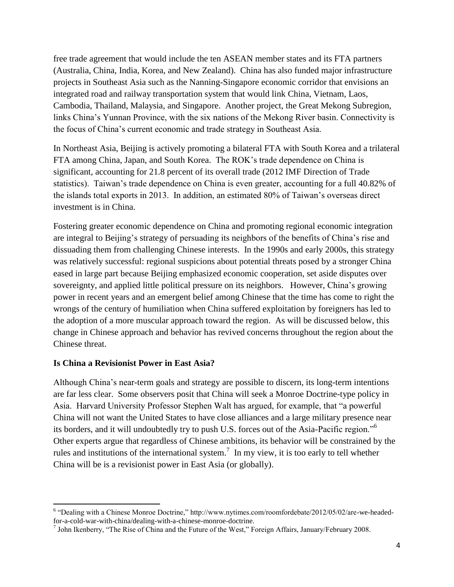free trade agreement that would include the ten ASEAN member states and its FTA partners (Australia, China, India, Korea, and New Zealand). China has also funded major infrastructure projects in Southeast Asia such as the Nanning-Singapore economic corridor that envisions an integrated road and railway transportation system that would link China, Vietnam, Laos, Cambodia, Thailand, Malaysia, and Singapore. Another project, the Great Mekong Subregion, links China's Yunnan Province, with the six nations of the Mekong River basin. Connectivity is the focus of China's current economic and trade strategy in Southeast Asia.

In Northeast Asia, Beijing is actively promoting a bilateral FTA with South Korea and a trilateral FTA among China, Japan, and South Korea. The ROK's trade dependence on China is significant, accounting for 21.8 percent of its overall trade (2012 IMF Direction of Trade statistics). Taiwan's trade dependence on China is even greater, accounting for a full 40.82% of the islands total exports in 2013. In addition, an estimated 80% of Taiwan's overseas direct investment is in China.

Fostering greater economic dependence on China and promoting regional economic integration are integral to Beijing's strategy of persuading its neighbors of the benefits of China's rise and dissuading them from challenging Chinese interests. In the 1990s and early 2000s, this strategy was relatively successful: regional suspicions about potential threats posed by a stronger China eased in large part because Beijing emphasized economic cooperation, set aside disputes over sovereignty, and applied little political pressure on its neighbors. However, China's growing power in recent years and an emergent belief among Chinese that the time has come to right the wrongs of the century of humiliation when China suffered exploitation by foreigners has led to the adoption of a more muscular approach toward the region. As will be discussed below, this change in Chinese approach and behavior has revived concerns throughout the region about the Chinese threat.

#### **Is China a Revisionist Power in East Asia?**

Although China's near-term goals and strategy are possible to discern, its long-term intentions are far less clear. Some observers posit that China will seek a Monroe Doctrine-type policy in Asia. Harvard University Professor Stephen Walt has argued, for example, that "a powerful China will not want the United States to have close alliances and a large military presence near its borders, and it will undoubtedly try to push U.S. forces out of the Asia-Pacific region."<sup>6</sup> Other experts argue that regardless of Chinese ambitions, its behavior will be constrained by the rules and institutions of the international system.<sup>7</sup> In my view, it is too early to tell whether China will be is a revisionist power in East Asia (or globally).

 6 "Dealing with a Chinese Monroe Doctrine," http://www.nytimes.com/roomfordebate/2012/05/02/are-we-headedfor-a-cold-war-with-china/dealing-with-a-chinese-monroe-doctrine.

 $^7$  John Ikenberry, "The Rise of China and the Future of the West," Foreign Affairs, January/February 2008.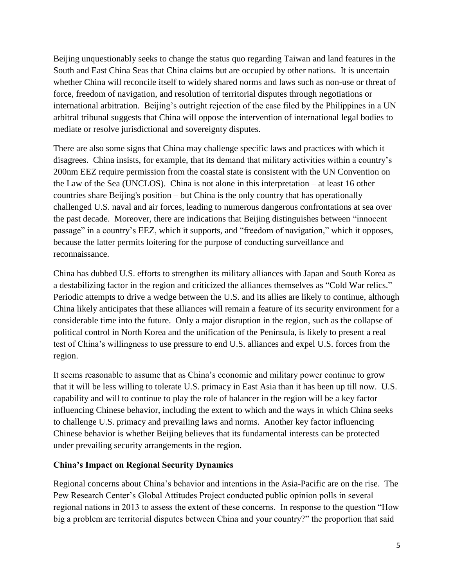Beijing unquestionably seeks to change the status quo regarding Taiwan and land features in the South and East China Seas that China claims but are occupied by other nations. It is uncertain whether China will reconcile itself to widely shared norms and laws such as non-use or threat of force, freedom of navigation, and resolution of territorial disputes through negotiations or international arbitration. Beijing's outright rejection of the case filed by the Philippines in a UN arbitral tribunal suggests that China will oppose the intervention of international legal bodies to mediate or resolve jurisdictional and sovereignty disputes.

There are also some signs that China may challenge specific laws and practices with which it disagrees. China insists, for example, that its demand that military activities within a country's 200nm EEZ require permission from the coastal state is consistent with the UN Convention on the Law of the Sea (UNCLOS). China is not alone in this interpretation – at least 16 other countries share Beijing's position – but China is the only country that has operationally challenged U.S. naval and air forces, leading to numerous dangerous confrontations at sea over the past decade. Moreover, there are indications that Beijing distinguishes between "innocent passage" in a country's EEZ, which it supports, and "freedom of navigation," which it opposes, because the latter permits loitering for the purpose of conducting surveillance and reconnaissance.

China has dubbed U.S. efforts to strengthen its military alliances with Japan and South Korea as a destabilizing factor in the region and criticized the alliances themselves as "Cold War relics." Periodic attempts to drive a wedge between the U.S. and its allies are likely to continue, although China likely anticipates that these alliances will remain a feature of its security environment for a considerable time into the future. Only a major disruption in the region, such as the collapse of political control in North Korea and the unification of the Peninsula, is likely to present a real test of China's willingness to use pressure to end U.S. alliances and expel U.S. forces from the region.

It seems reasonable to assume that as China's economic and military power continue to grow that it will be less willing to tolerate U.S. primacy in East Asia than it has been up till now. U.S. capability and will to continue to play the role of balancer in the region will be a key factor influencing Chinese behavior, including the extent to which and the ways in which China seeks to challenge U.S. primacy and prevailing laws and norms. Another key factor influencing Chinese behavior is whether Beijing believes that its fundamental interests can be protected under prevailing security arrangements in the region.

### **China's Impact on Regional Security Dynamics**

Regional concerns about China's behavior and intentions in the Asia-Pacific are on the rise. The Pew Research Center's Global Attitudes Project conducted public opinion polls in several regional nations in 2013 to assess the extent of these concerns. In response to the question "How big a problem are territorial disputes between China and your country?" the proportion that said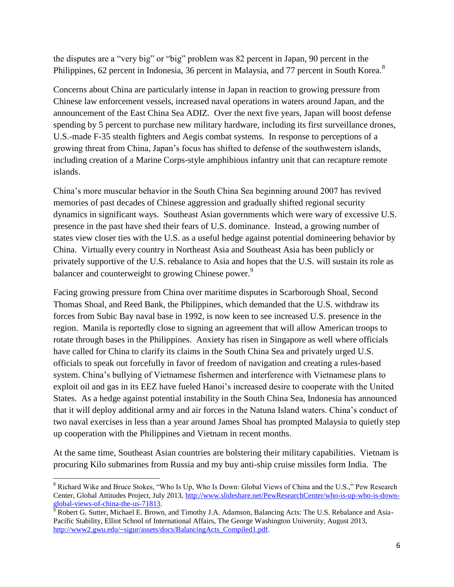the disputes are a "very big" or "big" problem was 82 percent in Japan, 90 percent in the Philippines, 62 percent in Indonesia, 36 percent in Malaysia, and 77 percent in South Korea.<sup>8</sup>

Concerns about China are particularly intense in Japan in reaction to growing pressure from Chinese law enforcement vessels, increased naval operations in waters around Japan, and the announcement of the East China Sea ADIZ. Over the next five years, Japan will boost defense spending by 5 percent to purchase new military hardware, including its first surveillance drones, U.S.-made F-35 stealth fighters and Aegis combat systems. In response to perceptions of a growing threat from China, Japan's focus has shifted to defense of the southwestern islands, including creation of a Marine Corps-style amphibious infantry unit that can recapture remote islands.

China's more muscular behavior in the South China Sea beginning around 2007 has revived memories of past decades of Chinese aggression and gradually shifted regional security dynamics in significant ways. Southeast Asian governments which were wary of excessive U.S. presence in the past have shed their fears of U.S. dominance. Instead, a growing number of states view closer ties with the U.S. as a useful hedge against potential domineering behavior by China. Virtually every country in Northeast Asia and Southeast Asia has been publicly or privately supportive of the U.S. rebalance to Asia and hopes that the U.S. will sustain its role as balancer and counterweight to growing Chinese power.<sup>9</sup>

Facing growing pressure from China over maritime disputes in Scarborough Shoal, Second Thomas Shoal, and Reed Bank, the Philippines, which demanded that the U.S. withdraw its forces from Subic Bay naval base in 1992, is now keen to see increased U.S. presence in the region. Manila is reportedly close to signing an agreement that will allow American troops to rotate through bases in the Philippines. Anxiety has risen in Singapore as well where officials have called for China to clarify its claims in the South China Sea and privately urged U.S. officials to speak out forcefully in favor of freedom of navigation and creating a rules-based system. China's bullying of Vietnamese fishermen and interference with Vietnamese plans to exploit oil and gas in its EEZ have fueled Hanoi's increased desire to cooperate with the United States. As a hedge against potential instability in the South China Sea, Indonesia has announced that it will deploy additional army and air forces in the Natuna Island waters. China's conduct of two naval exercises in less than a year around James Shoal has prompted Malaysia to quietly step up cooperation with the Philippines and Vietnam in recent months.

At the same time, Southeast Asian countries are bolstering their military capabilities. Vietnam is procuring Kilo submarines from Russia and my buy anti-ship cruise missiles form India. The

l <sup>8</sup> Richard Wike and Bruce Stokes, "Who Is Up, Who Is Down: Global Views of China and the U.S.," Pew Research Center, Global Attitudes Project, July 2013, [http://www.slideshare.net/PewResearchCenter/who-is-up-who-is-down](http://www.slideshare.net/PewResearchCenter/who-is-up-who-is-down-global-views-of-china-the-us-71813)[global-views-of-china-the-us-71813.](http://www.slideshare.net/PewResearchCenter/who-is-up-who-is-down-global-views-of-china-the-us-71813)

 $\frac{9}{9}$  Robert G. Sutter, Michael E. Brown, and Timothy J.A. Adamson, Balancing Acts: The U.S. Rebalance and Asia-Pacific Stability, Elliot School of International Affairs, The George Washington University, August 2013, [http://www2.gwu.edu/~sigur/assets/docs/BalancingActs\\_Compiled1.pdf.](http://www2.gwu.edu/~sigur/assets/docs/BalancingActs_Compiled1.pdf)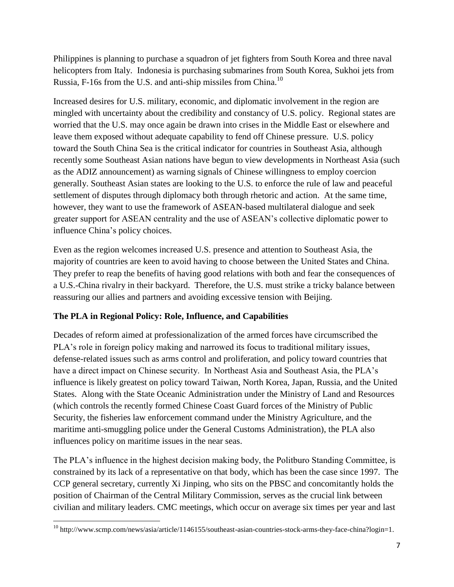Philippines is planning to purchase a squadron of jet fighters from South Korea and three naval helicopters from Italy. Indonesia is purchasing submarines from South Korea, Sukhoi jets from Russia, F-16s from the U.S. and anti-ship missiles from China.<sup>10</sup>

Increased desires for U.S. military, economic, and diplomatic involvement in the region are mingled with uncertainty about the credibility and constancy of U.S. policy. Regional states are worried that the U.S. may once again be drawn into crises in the Middle East or elsewhere and leave them exposed without adequate capability to fend off Chinese pressure. U.S. policy toward the South China Sea is the critical indicator for countries in Southeast Asia, although recently some Southeast Asian nations have begun to view developments in Northeast Asia (such as the ADIZ announcement) as warning signals of Chinese willingness to employ coercion generally. Southeast Asian states are looking to the U.S. to enforce the rule of law and peaceful settlement of disputes through diplomacy both through rhetoric and action. At the same time, however, they want to use the framework of ASEAN-based multilateral dialogue and seek greater support for ASEAN centrality and the use of ASEAN's collective diplomatic power to influence China's policy choices.

Even as the region welcomes increased U.S. presence and attention to Southeast Asia, the majority of countries are keen to avoid having to choose between the United States and China. They prefer to reap the benefits of having good relations with both and fear the consequences of a U.S.-China rivalry in their backyard. Therefore, the U.S. must strike a tricky balance between reassuring our allies and partners and avoiding excessive tension with Beijing.

# **The PLA in Regional Policy: Role, Influence, and Capabilities**

Decades of reform aimed at professionalization of the armed forces have circumscribed the PLA's role in foreign policy making and narrowed its focus to traditional military issues, defense-related issues such as arms control and proliferation, and policy toward countries that have a direct impact on Chinese security. In Northeast Asia and Southeast Asia, the PLA's influence is likely greatest on policy toward Taiwan, North Korea, Japan, Russia, and the United States. Along with the State Oceanic Administration under the Ministry of Land and Resources (which controls the recently formed Chinese Coast Guard forces of the Ministry of Public Security, the fisheries law enforcement command under the Ministry Agriculture, and the maritime anti-smuggling police under the General Customs Administration), the PLA also influences policy on maritime issues in the near seas.

The PLA's influence in the highest decision making body, the Politburo Standing Committee, is constrained by its lack of a representative on that body, which has been the case since 1997. The CCP general secretary, currently Xi Jinping, who sits on the PBSC and concomitantly holds the position of Chairman of the Central Military Commission, serves as the crucial link between civilian and military leaders. CMC meetings, which occur on average six times per year and last

 $\overline{\phantom{a}}$ <sup>10</sup> http://www.scmp.com/news/asia/article/1146155/southeast-asian-countries-stock-arms-they-face-china?login=1.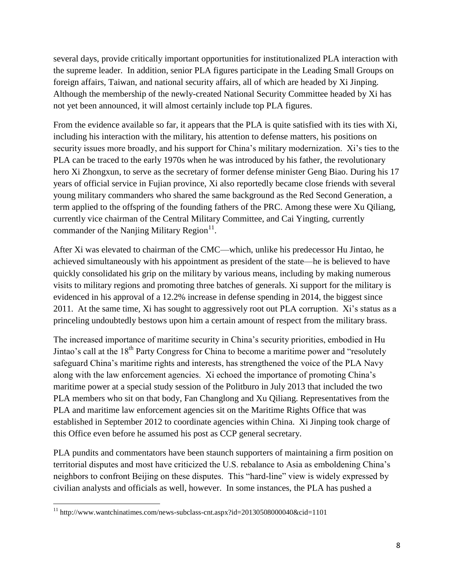several days, provide critically important opportunities for institutionalized PLA interaction with the supreme leader. In addition, senior PLA figures participate in the Leading Small Groups on foreign affairs, Taiwan, and national security affairs, all of which are headed by Xi Jinping. Although the membership of the newly-created National Security Committee headed by Xi has not yet been announced, it will almost certainly include top PLA figures.

From the evidence available so far, it appears that the PLA is quite satisfied with its ties with Xi, including his interaction with the military, his attention to defense matters, his positions on security issues more broadly, and his support for China's military modernization. Xi's ties to the PLA can be traced to the early 1970s when he was introduced by his father, the revolutionary hero Xi Zhongxun, to serve as the secretary of former defense minister Geng Biao. During his 17 years of official service in Fujian province, Xi also reportedly became close friends with several young military commanders who shared the same background as the Red Second Generation, a term applied to the offspring of the founding fathers of the PRC. Among these were Xu Qiliang, currently vice chairman of the Central Military Committee, and Cai Yingting, currently commander of the Nanjing Military Region $^{11}$ .

After Xi was elevated to chairman of the CMC—which, unlike his predecessor Hu Jintao, he achieved simultaneously with his appointment as president of the state—he is believed to have quickly consolidated his grip on the military by various means, including by making numerous visits to military regions and promoting three batches of generals. Xi support for the military is evidenced in his approval of a 12.2% increase in defense spending in 2014, the biggest since 2011. At the same time, Xi has sought to aggressively root out PLA corruption. Xi's status as a princeling undoubtedly bestows upon him a certain amount of respect from the military brass.

The increased importance of maritime security in China's security priorities, embodied in Hu Jintao's call at the 18<sup>th</sup> Party Congress for China to become a maritime power and "resolutely" safeguard China's maritime rights and interests, has strengthened the voice of the PLA Navy along with the law enforcement agencies. Xi echoed the importance of promoting China's maritime power at a special study session of the Politburo in July 2013 that included the two PLA members who sit on that body, Fan Changlong and Xu Qiliang. Representatives from the PLA and maritime law enforcement agencies sit on the Maritime Rights Office that was established in September 2012 to coordinate agencies within China. Xi Jinping took charge of this Office even before he assumed his post as CCP general secretary.

PLA pundits and commentators have been staunch supporters of maintaining a firm position on territorial disputes and most have criticized the U.S. rebalance to Asia as emboldening China's neighbors to confront Beijing on these disputes. This "hard-line" view is widely expressed by civilian analysts and officials as well, however. In some instances, the PLA has pushed a

 $\overline{\phantom{a}}$ 

<sup>11</sup> http://www.wantchinatimes.com/news-subclass-cnt.aspx?id=20130508000040&cid=1101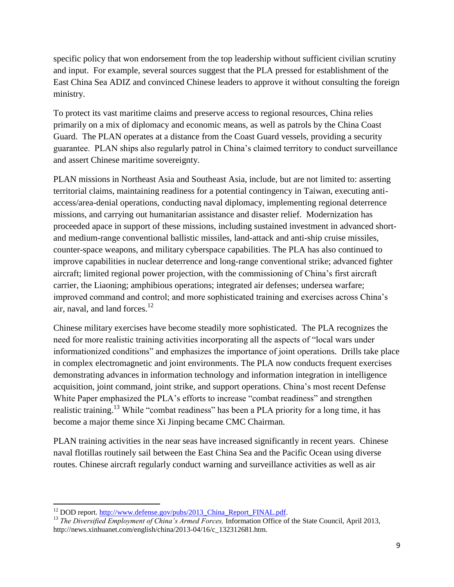specific policy that won endorsement from the top leadership without sufficient civilian scrutiny and input. For example, several sources suggest that the PLA pressed for establishment of the East China Sea ADIZ and convinced Chinese leaders to approve it without consulting the foreign ministry.

To protect its vast maritime claims and preserve access to regional resources, China relies primarily on a mix of diplomacy and economic means, as well as patrols by the China Coast Guard. The PLAN operates at a distance from the Coast Guard vessels, providing a security guarantee. PLAN ships also regularly patrol in China's claimed territory to conduct surveillance and assert Chinese maritime sovereignty.

PLAN missions in Northeast Asia and Southeast Asia, include, but are not limited to: asserting territorial claims, maintaining readiness for a potential contingency in Taiwan, executing antiaccess/area-denial operations, conducting naval diplomacy, implementing regional deterrence missions, and carrying out humanitarian assistance and disaster relief. Modernization has proceeded apace in support of these missions, including sustained investment in advanced shortand medium-range conventional ballistic missiles, land-attack and anti-ship cruise missiles, counter-space weapons, and military cyberspace capabilities. The PLA has also continued to improve capabilities in nuclear deterrence and long-range conventional strike; advanced fighter aircraft; limited regional power projection, with the commissioning of China's first aircraft carrier, the Liaoning; amphibious operations; integrated air defenses; undersea warfare; improved command and control; and more sophisticated training and exercises across China's air, naval, and land forces. $12$ 

Chinese military exercises have become steadily more sophisticated. The PLA recognizes the need for more realistic training activities incorporating all the aspects of "local wars under informationized conditions" and emphasizes the importance of joint operations. Drills take place in complex electromagnetic and joint environments. The PLA now conducts frequent exercises demonstrating advances in information technology and information integration in intelligence acquisition, joint command, joint strike, and support operations. China's most recent Defense White Paper emphasized the PLA's efforts to increase "combat readiness" and strengthen realistic training.<sup>13</sup> While "combat readiness" has been a PLA priority for a long time, it has become a major theme since Xi Jinping became CMC Chairman.

PLAN training activities in the near seas have increased significantly in recent years. Chinese naval flotillas routinely sail between the East China Sea and the Pacific Ocean using diverse routes. Chinese aircraft regularly conduct warning and surveillance activities as well as air

 $\overline{\phantom{a}}$ <sup>12</sup> DOD report. [http://www.defense.gov/pubs/2013\\_China\\_Report\\_FINAL.pdf.](http://www.defense.gov/pubs/2013_China_Report_FINAL.pdf)

<sup>&</sup>lt;sup>13</sup> *The Diversified Employment of China's Armed Forces, Information Office of the State Council, April 2013,* http://news.xinhuanet.com/english/china/2013-04/16/c\_132312681.htm.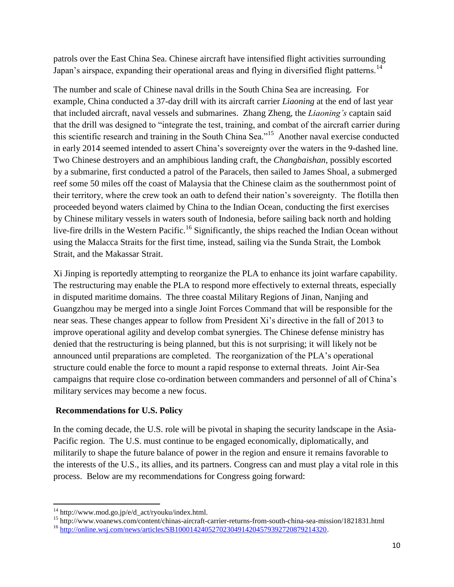patrols over the East China Sea. Chinese aircraft have intensified flight activities surrounding Japan's airspace, expanding their operational areas and flying in diversified flight patterns.<sup>14</sup>

The number and scale of Chinese naval drills in the South China Sea are increasing. For example, China conducted a 37-day drill with its aircraft carrier *Liaoning* at the end of last year that included aircraft, naval vessels and submarines. Zhang Zheng, the *Liaoning's* captain said that the drill was designed to "integrate the test, training, and combat of the aircraft carrier during this scientific research and training in the South China Sea."<sup>15</sup> Another naval exercise conducted in early 2014 seemed intended to assert China's sovereignty over the waters in the 9-dashed line. Two Chinese destroyers and an amphibious landing craft, the *Changbaishan*, possibly escorted by a submarine, first conducted a patrol of the Paracels, then sailed to James Shoal, a submerged reef some 50 miles off the coast of Malaysia that the Chinese claim as the southernmost point of their territory, where the crew took an oath to defend their nation's sovereignty. The flotilla then proceeded beyond waters claimed by China to the Indian Ocean, conducting the first exercises by Chinese military vessels in waters south of Indonesia, before sailing back north and holding live-fire drills in the Western Pacific.<sup>16</sup> Significantly, the ships reached the Indian Ocean without using the Malacca Straits for the first time, instead, sailing via the Sunda Strait, the Lombok Strait, and the Makassar Strait.

Xi Jinping is reportedly attempting to reorganize the PLA to enhance its joint warfare capability. The restructuring may enable the PLA to respond more effectively to external threats, especially in disputed maritime domains. The three coastal Military Regions of Jinan, Nanjing and Guangzhou may be merged into a single Joint Forces Command that will be responsible for the near seas. These changes appear to follow from President Xi's directive in the fall of 2013 to improve operational agility and develop combat synergies. The Chinese defense ministry has denied that the restructuring is being planned, but this is not surprising; it will likely not be announced until preparations are completed. The reorganization of the PLA's operational structure could enable the force to mount a rapid response to external threats. Joint Air-Sea campaigns that require close co-ordination between commanders and personnel of all of China's military services may become a new focus.

# **Recommendations for U.S. Policy**

In the coming decade, the U.S. role will be pivotal in shaping the security landscape in the Asia-Pacific region. The U.S. must continue to be engaged economically, diplomatically, and militarily to shape the future balance of power in the region and ensure it remains favorable to the interests of the U.S., its allies, and its partners. Congress can and must play a vital role in this process. Below are my recommendations for Congress going forward:

 $\overline{\phantom{a}}$  $14 \text{ http://www.mod.gov.jp/e/d_act/ryouku/index.html.}$ 

<sup>15</sup> http://www.voanews.com/content/chinas-aircraft-carrier-returns-from-south-china-sea-mission/1821831.html <sup>16</sup> [http://online.wsj.com/news/articles/SB10001424052702304914204579392720879214320.](http://forbes.house.gov/Components/Redirect/r.aspx?ID=401513-45063721)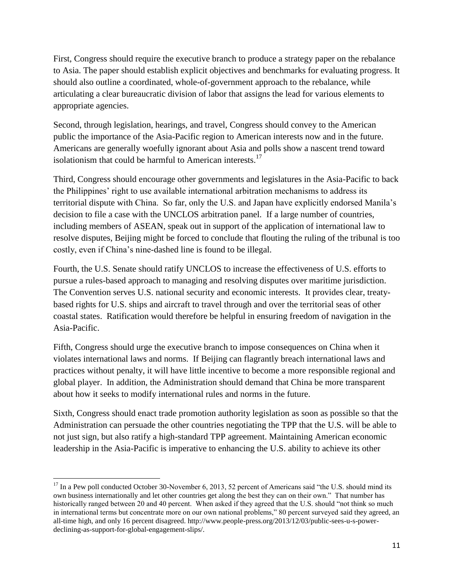First, Congress should require the executive branch to produce a strategy paper on the rebalance to Asia. The paper should establish explicit objectives and benchmarks for evaluating progress. It should also outline a coordinated, whole-of-government approach to the rebalance, while articulating a clear bureaucratic division of labor that assigns the lead for various elements to appropriate agencies.

Second, through legislation, hearings, and travel, Congress should convey to the American public the importance of the Asia-Pacific region to American interests now and in the future. Americans are generally woefully ignorant about Asia and polls show a nascent trend toward isolationism that could be harmful to American interests.<sup>17</sup>

Third, Congress should encourage other governments and legislatures in the Asia-Pacific to back the Philippines' right to use available international arbitration mechanisms to address its territorial dispute with China. So far, only the U.S. and Japan have explicitly endorsed Manila's decision to file a case with the UNCLOS arbitration panel. If a large number of countries, including members of ASEAN, speak out in support of the application of international law to resolve disputes, Beijing might be forced to conclude that flouting the ruling of the tribunal is too costly, even if China's nine-dashed line is found to be illegal.

Fourth, the U.S. Senate should ratify UNCLOS to increase the effectiveness of U.S. efforts to pursue a rules-based approach to managing and resolving disputes over maritime jurisdiction. The Convention serves U.S. national security and economic interests. It provides clear, treatybased rights for U.S. ships and aircraft to travel through and over the territorial seas of other coastal states. Ratification would therefore be helpful in ensuring freedom of navigation in the Asia-Pacific.

Fifth, Congress should urge the executive branch to impose consequences on China when it violates international laws and norms. If Beijing can flagrantly breach international laws and practices without penalty, it will have little incentive to become a more responsible regional and global player. In addition, the Administration should demand that China be more transparent about how it seeks to modify international rules and norms in the future.

Sixth, Congress should enact trade promotion authority legislation as soon as possible so that the Administration can persuade the other countries negotiating the TPP that the U.S. will be able to not just sign, but also ratify a high-standard TPP agreement. Maintaining American economic leadership in the Asia-Pacific is imperative to enhancing the U.S. ability to achieve its other

l <sup>17</sup> In a Pew poll conducted October 30-November 6, 2013, 52 percent of Americans said "the U.S. should mind its own business internationally and let other countries get along the best they can on their own." That number has historically ranged between 20 and 40 percent. When asked if they agreed that the U.S. should "not think so much in international terms but concentrate more on our own national problems," 80 percent surveyed said they agreed, an all-time high, and only 16 percent disagreed. http://www.people-press.org/2013/12/03/public-sees-u-s-powerdeclining-as-support-for-global-engagement-slips/.